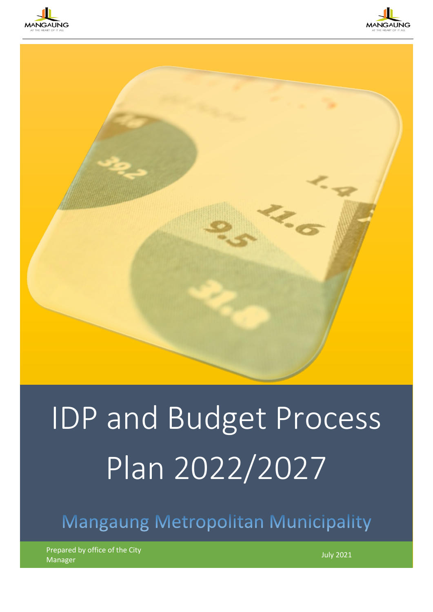





# IDP and Budget Process Plan 2022/2027

Mangaung Metropolitan Municipality

Prepared by office of the City manager July 2021 Manager July 2021<br>Manager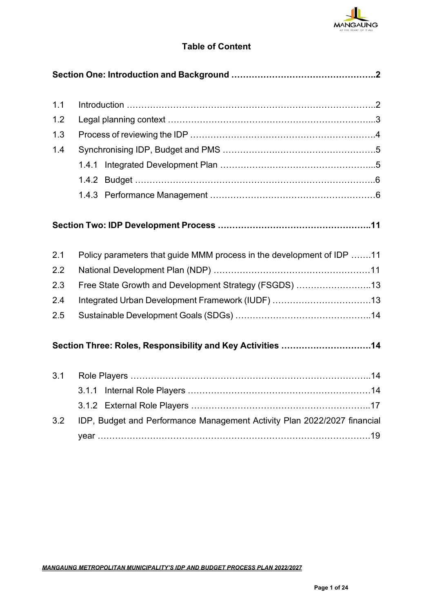

## **Table of Content**

| 1.1 |                                                                          |  |
|-----|--------------------------------------------------------------------------|--|
| 1.2 |                                                                          |  |
| 1.3 |                                                                          |  |
| 1.4 |                                                                          |  |
|     |                                                                          |  |
|     |                                                                          |  |
|     |                                                                          |  |
|     |                                                                          |  |
|     |                                                                          |  |
|     |                                                                          |  |
| 2.1 | Policy parameters that guide MMM process in the development of IDP 11    |  |
| 2.2 |                                                                          |  |
| 2.3 | Free State Growth and Development Strategy (FSGDS) 13                    |  |
| 2.4 | Integrated Urban Development Framework (IUDF) 13                         |  |
| 2.5 |                                                                          |  |
|     |                                                                          |  |
|     | Section Three: Roles, Responsibility and Key Activities 14               |  |
|     |                                                                          |  |
| 3.1 |                                                                          |  |
|     |                                                                          |  |
|     |                                                                          |  |
| 3.2 | IDP, Budget and Performance Management Activity Plan 2022/2027 financial |  |
|     |                                                                          |  |
|     |                                                                          |  |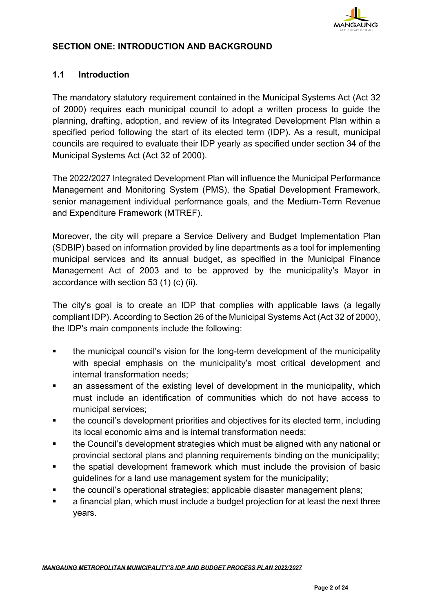

#### **SECTION ONE: INTRODUCTION AND BACKGROUND**

#### **1.1 Introduction**

The mandatory statutory requirement contained in the Municipal Systems Act (Act 32 of 2000) requires each municipal council to adopt a written process to guide the planning, drafting, adoption, and review of its Integrated Development Plan within a specified period following the start of its elected term (IDP). As a result, municipal councils are required to evaluate their IDP yearly as specified under section 34 of the Municipal Systems Act (Act 32 of 2000).

The 2022/2027 Integrated Development Plan will influence the Municipal Performance Management and Monitoring System (PMS), the Spatial Development Framework, senior management individual performance goals, and the Medium-Term Revenue and Expenditure Framework (MTREF).

Moreover, the city will prepare a Service Delivery and Budget Implementation Plan (SDBIP) based on information provided by line departments as a tool for implementing municipal services and its annual budget, as specified in the Municipal Finance Management Act of 2003 and to be approved by the municipality's Mayor in accordance with section 53 (1) (c) (ii).

The city's goal is to create an IDP that complies with applicable laws (a legally compliant IDP). According to Section 26 of the Municipal Systems Act (Act 32 of 2000), the IDP's main components include the following:

- the municipal council's vision for the long-term development of the municipality with special emphasis on the municipality's most critical development and internal transformation needs;
- an assessment of the existing level of development in the municipality, which must include an identification of communities which do not have access to municipal services;
- the council's development priorities and objectives for its elected term, including its local economic aims and is internal transformation needs;
- the Council's development strategies which must be aligned with any national or provincial sectoral plans and planning requirements binding on the municipality;
- the spatial development framework which must include the provision of basic guidelines for a land use management system for the municipality;
- the council's operational strategies; applicable disaster management plans;
- a financial plan, which must include a budget projection for at least the next three years.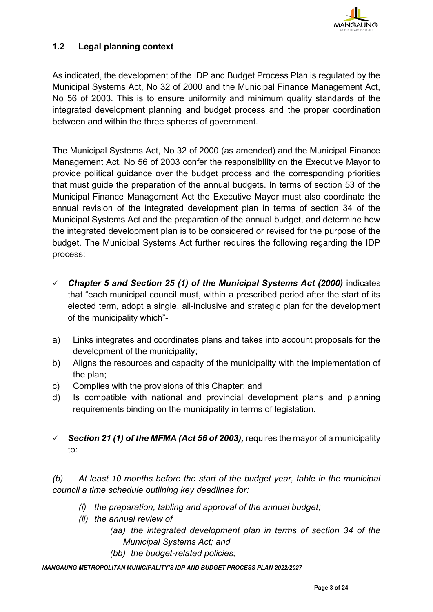

#### **1.2 Legal planning context**

As indicated, the development of the IDP and Budget Process Plan is regulated by the Municipal Systems Act, No 32 of 2000 and the Municipal Finance Management Act, No 56 of 2003. This is to ensure uniformity and minimum quality standards of the integrated development planning and budget process and the proper coordination between and within the three spheres of government.

The Municipal Systems Act, No 32 of 2000 (as amended) and the Municipal Finance Management Act, No 56 of 2003 confer the responsibility on the Executive Mayor to provide political guidance over the budget process and the corresponding priorities that must guide the preparation of the annual budgets. In terms of section 53 of the Municipal Finance Management Act the Executive Mayor must also coordinate the annual revision of the integrated development plan in terms of section 34 of the Municipal Systems Act and the preparation of the annual budget, and determine how the integrated development plan is to be considered or revised for the purpose of the budget. The Municipal Systems Act further requires the following regarding the IDP process:

- ✓ *Chapter 5 and Section 25 (1) of the Municipal Systems Act (2000)* indicates that "each municipal council must, within a prescribed period after the start of its elected term, adopt a single, all-inclusive and strategic plan for the development of the municipality which"-
- a) Links integrates and coordinates plans and takes into account proposals for the development of the municipality;
- b) Aligns the resources and capacity of the municipality with the implementation of the plan;
- c) Complies with the provisions of this Chapter; and
- d) Is compatible with national and provincial development plans and planning requirements binding on the municipality in terms of legislation.
- $\checkmark$  **Section 21 (1) of the MFMA (Act 56 of 2003)**, requires the mayor of a municipality to:

*(b) At least 10 months before the start of the budget year, table in the municipal council a time schedule outlining key deadlines for:*

- *(i) the preparation, tabling and approval of the annual budget;*
- *(ii) the annual review of* 
	- *(aa) the integrated development plan in terms of section 34 of the Municipal Systems Act; and*
	- *(bb) the budget-related policies;*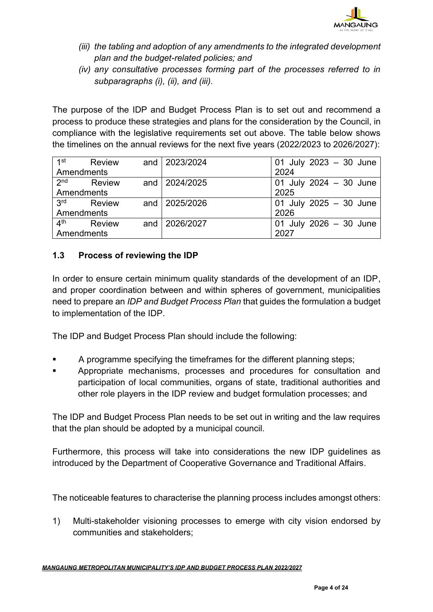

- *(iii) the tabling and adoption of any amendments to the integrated development plan and the budget-related policies; and*
- *(iv) any consultative processes forming part of the processes referred to in subparagraphs (i), (ii), and (iii).*

The purpose of the IDP and Budget Process Plan is to set out and recommend a process to produce these strategies and plans for the consideration by the Council, in compliance with the legislative requirements set out above. The table below shows the timelines on the annual reviews for the next five years (2022/2023 to 2026/2027):

| 1st             | <b>Review</b> |  | and 2023/2024   | 01 July 2023 - 30 June   |
|-----------------|---------------|--|-----------------|--------------------------|
| Amendments      |               |  |                 | 2024                     |
| 2 <sub>nd</sub> | <b>Review</b> |  | and   2024/2025 | 01 July 2024 $-$ 30 June |
| Amendments      |               |  |                 | 2025                     |
| 3 <sup>rd</sup> | <b>Review</b> |  | and 2025/2026   | 01 July 2025 $-$ 30 June |
| Amendments      |               |  |                 | 2026                     |
| 4 <sup>th</sup> | <b>Review</b> |  | and 2026/2027   | 01 July 2026 $-$ 30 June |
| Amendments      |               |  |                 | 2027                     |

## **1.3 Process of reviewing the IDP**

In order to ensure certain minimum quality standards of the development of an IDP, and proper coordination between and within spheres of government, municipalities need to prepare an *IDP and Budget Process Plan* that guides the formulation a budget to implementation of the IDP.

The IDP and Budget Process Plan should include the following:

- A programme specifying the timeframes for the different planning steps;
- Appropriate mechanisms, processes and procedures for consultation and participation of local communities, organs of state, traditional authorities and other role players in the IDP review and budget formulation processes; and

The IDP and Budget Process Plan needs to be set out in writing and the law requires that the plan should be adopted by a municipal council.

Furthermore, this process will take into considerations the new IDP guidelines as introduced by the Department of Cooperative Governance and Traditional Affairs.

The noticeable features to characterise the planning process includes amongst others:

1) Multi-stakeholder visioning processes to emerge with city vision endorsed by communities and stakeholders;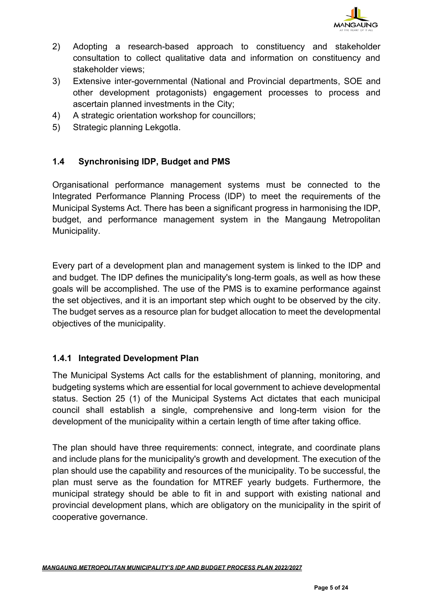

- 2) Adopting a research-based approach to constituency and stakeholder consultation to collect qualitative data and information on constituency and stakeholder views;
- 3) Extensive inter-governmental (National and Provincial departments, SOE and other development protagonists) engagement processes to process and ascertain planned investments in the City;
- 4) A strategic orientation workshop for councillors;
- 5) Strategic planning Lekgotla.

## **1.4 Synchronising IDP, Budget and PMS**

Organisational performance management systems must be connected to the Integrated Performance Planning Process (IDP) to meet the requirements of the Municipal Systems Act. There has been a significant progress in harmonising the IDP, budget, and performance management system in the Mangaung Metropolitan Municipality.

Every part of a development plan and management system is linked to the IDP and and budget. The IDP defines the municipality's long-term goals, as well as how these goals will be accomplished. The use of the PMS is to examine performance against the set objectives, and it is an important step which ought to be observed by the city. The budget serves as a resource plan for budget allocation to meet the developmental objectives of the municipality.

#### **1.4.1 Integrated Development Plan**

The Municipal Systems Act calls for the establishment of planning, monitoring, and budgeting systems which are essential for local government to achieve developmental status. Section 25 (1) of the Municipal Systems Act dictates that each municipal council shall establish a single, comprehensive and long-term vision for the development of the municipality within a certain length of time after taking office.

The plan should have three requirements: connect, integrate, and coordinate plans and include plans for the municipality's growth and development. The execution of the plan should use the capability and resources of the municipality. To be successful, the plan must serve as the foundation for MTREF yearly budgets. Furthermore, the municipal strategy should be able to fit in and support with existing national and provincial development plans, which are obligatory on the municipality in the spirit of cooperative governance.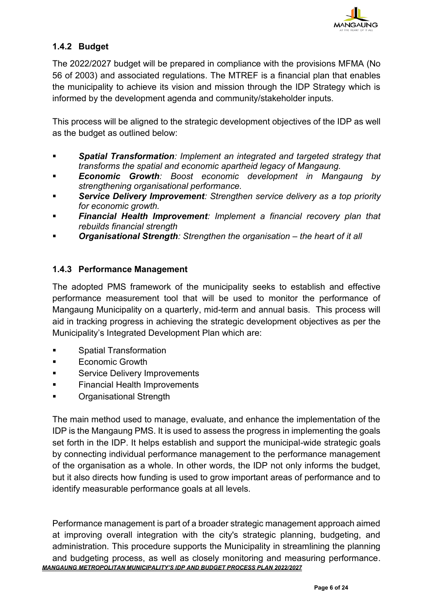

## **1.4.2 Budget**

The 2022/2027 budget will be prepared in compliance with the provisions MFMA (No 56 of 2003) and associated regulations. The MTREF is a financial plan that enables the municipality to achieve its vision and mission through the IDP Strategy which is informed by the development agenda and community/stakeholder inputs.

This process will be aligned to the strategic development objectives of the IDP as well as the budget as outlined below:

- *Spatial Transformation: Implement an integrated and targeted strategy that transforms the spatial and economic apartheid legacy of Mangaung.*
- **Economic Growth**: Boost economic development in Mangaung by *strengthening organisational performance.*
- Service Delivery Improvement: Strengthen service delivery as a top priority *for economic growth.*
- *Financial Health Improvement: Implement a financial recovery plan that rebuilds financial strength*
- **Organisational Strength**: Strengthen the organisation the heart of it all

#### **1.4.3 Performance Management**

The adopted PMS framework of the municipality seeks to establish and effective performance measurement tool that will be used to monitor the performance of Mangaung Municipality on a quarterly, mid-term and annual basis. This process will aid in tracking progress in achieving the strategic development objectives as per the Municipality's Integrated Development Plan which are:

- **Spatial Transformation**
- **Economic Growth**
- Service Delivery Improvements
- **Financial Health Improvements**
- **Organisational Strength**

The main method used to manage, evaluate, and enhance the implementation of the IDP is the Mangaung PMS. It is used to assess the progress in implementing the goals set forth in the IDP. It helps establish and support the municipal-wide strategic goals by connecting individual performance management to the performance management of the organisation as a whole. In other words, the IDP not only informs the budget, but it also directs how funding is used to grow important areas of performance and to identify measurable performance goals at all levels.

*MANGAUNG METROPOLITAN MUNICIPALITY'S IDP AND BUDGET PROCESS PLAN 2022/2027* Performance management is part of a broader strategic management approach aimed at improving overall integration with the city's strategic planning, budgeting, and administration. This procedure supports the Municipality in streamlining the planning and budgeting process, as well as closely monitoring and measuring performance.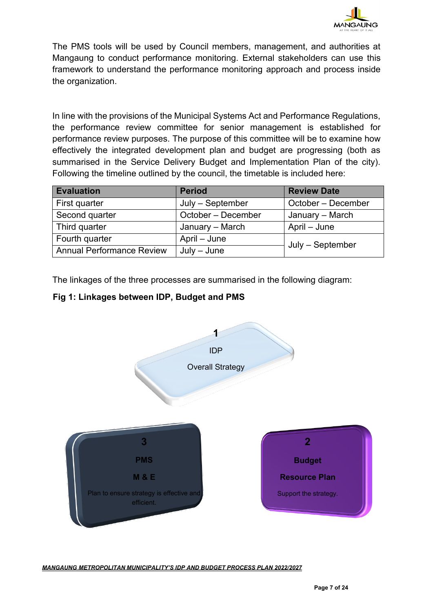

The PMS tools will be used by Council members, management, and authorities at Mangaung to conduct performance monitoring. External stakeholders can use this framework to understand the performance monitoring approach and process inside the organization.

In line with the provisions of the Municipal Systems Act and Performance Regulations, the performance review committee for senior management is established for performance review purposes. The purpose of this committee will be to examine how effectively the integrated development plan and budget are progressing (both as summarised in the Service Delivery Budget and Implementation Plan of the city). Following the timeline outlined by the council, the timetable is included here:

| <b>Evaluation</b>                | <b>Period</b>      | <b>Review Date</b> |
|----------------------------------|--------------------|--------------------|
| First quarter                    | July - September   | October - December |
| Second quarter                   | October - December | January – March    |
| Third quarter                    | January - March    | April – June       |
| Fourth quarter                   | April – June       | July - September   |
| <b>Annual Performance Review</b> | $July - June$      |                    |

The linkages of the three processes are summarised in the following diagram:

## **Fig 1: Linkages between IDP, Budget and PMS**

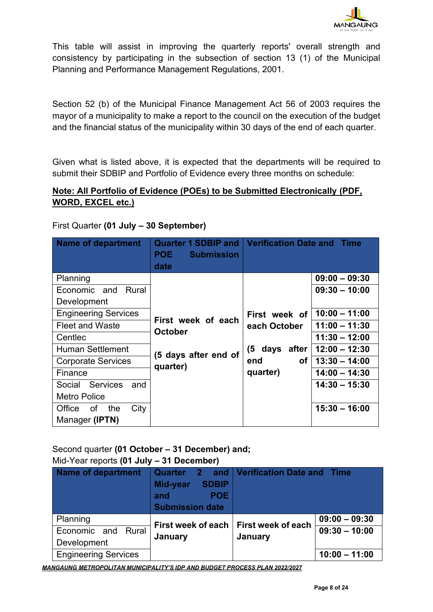

This table will assist in improving the quarterly reports' overall strength and consistency by participating in the subsection of section 13 (1) of the Municipal Planning and Performance Management Regulations, 2001.

Section 52 (b) of the Municipal Finance Management Act 56 of 2003 requires the mayor of a municipality to make a report to the council on the execution of the budget and the financial status of the municipality within 30 days of the end of each quarter.

Given what is listed above, it is expected that the departments will be required to submit their SDBIP and Portfolio of Evidence every three months on schedule:

## **Note: All Portfolio of Evidence (POEs) to be Submitted Electronically (PDF, WORD, EXCEL etc.)**

|  |  |  |  | First Quarter (01 July - 30 September) |
|--|--|--|--|----------------------------------------|
|--|--|--|--|----------------------------------------|

| <b>Name of department</b>        | <b>Quarter 1 SDBIP and</b><br><b>POE</b><br><b>Submission</b><br>date | <b>Verification Date and</b>  | <b>Time</b>     |
|----------------------------------|-----------------------------------------------------------------------|-------------------------------|-----------------|
| Planning                         |                                                                       |                               | $09:00 - 09:30$ |
| Rural<br>Economic and            |                                                                       |                               | $09:30 - 10:00$ |
| Development                      |                                                                       |                               |                 |
| <b>Engineering Services</b>      | First week of each<br><b>October</b>                                  | First week of<br>each October | $10:00 - 11:00$ |
| <b>Fleet and Waste</b>           |                                                                       |                               | $11:00 - 11:30$ |
| Centlec                          |                                                                       |                               | $11:30 - 12:00$ |
| <b>Human Settlement</b>          | (5 days after end of                                                  | (5 days after                 | $12:00 - 12:30$ |
| <b>Corporate Services</b>        | quarter)                                                              | of<br>end                     | $13:30 - 14:00$ |
| Finance                          |                                                                       | quarter)                      | $14:00 - 14:30$ |
| <b>Services</b><br>and<br>Social |                                                                       |                               | $14:30 - 15:30$ |
| <b>Metro Police</b>              |                                                                       |                               |                 |
| of<br>the<br>City<br>Office      |                                                                       |                               | $15:30 - 16:00$ |
| Manager (IPTN)                   |                                                                       |                               |                 |

## Second quarter **(01 October – 31 December) and;** Mid-Year reports **(01 July – 31 December)**

| <b>Name of department</b>   | <b>Quarter</b><br><b>27</b><br><b>SDBIP</b><br>Mid-year<br>POE:<br>and<br><b>Submission date</b> | and   Verification Date and Time |                 |
|-----------------------------|--------------------------------------------------------------------------------------------------|----------------------------------|-----------------|
| Planning                    | First week of each                                                                               | First week of each               | $09:00 - 09:30$ |
| Rural<br>Economic and       |                                                                                                  | January                          | $09:30 - 10:00$ |
| Development                 | January                                                                                          |                                  |                 |
| <b>Engineering Services</b> |                                                                                                  |                                  | $10:00 - 11:00$ |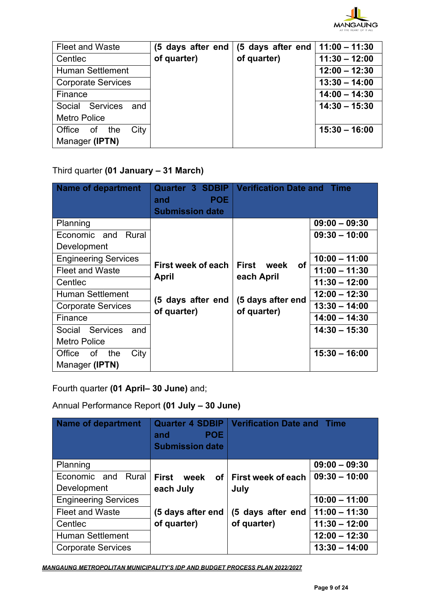

| <b>Fleet and Waste</b>    | (5 days after end | (5 days after end | $11:00 - 11:30$ |
|---------------------------|-------------------|-------------------|-----------------|
| Centlec                   | of quarter)       | of quarter)       | $11:30 - 12:00$ |
| <b>Human Settlement</b>   |                   |                   | $12:00 - 12:30$ |
| <b>Corporate Services</b> |                   |                   | $13:30 - 14:00$ |
| Finance                   |                   |                   | $14:00 - 14:30$ |
| Social Services and       |                   |                   | $14:30 - 15:30$ |
| <b>Metro Police</b>       |                   |                   |                 |
| Office of<br>the<br>City  |                   |                   | $15:30 - 16:00$ |
| Manager (IPTN)            |                   |                   |                 |

## Third quarter **(01 January – 31 March)**

| <b>Name of department</b>   | <b>Quarter 3 SDBIP</b><br><b>POE</b><br>and<br><b>Submission date</b> | <b>Verification Date and Time</b> |                 |
|-----------------------------|-----------------------------------------------------------------------|-----------------------------------|-----------------|
| Planning                    |                                                                       |                                   | $09:00 - 09:30$ |
| Rural<br>Economic and       |                                                                       |                                   | $09:30 - 10:00$ |
| Development                 |                                                                       |                                   |                 |
| <b>Engineering Services</b> |                                                                       | <b>First</b><br>week<br>0f        | $10:00 - 11:00$ |
| <b>Fleet and Waste</b>      | First week of each                                                    |                                   | $11:00 - 11:30$ |
| Centlec                     | April                                                                 | each April                        | $11:30 - 12:00$ |
| <b>Human Settlement</b>     | (5 days after end                                                     | (5 days after end                 | $12:00 - 12:30$ |
| <b>Corporate Services</b>   | of quarter)                                                           | of quarter)                       | $13:30 - 14:00$ |
| Finance                     |                                                                       |                                   | $14:00 - 14:30$ |
| Social Services<br>and      |                                                                       |                                   | $14:30 - 15:30$ |
| <b>Metro Police</b>         |                                                                       |                                   |                 |
| of<br>the<br>City<br>Office |                                                                       |                                   | $15:30 - 16:00$ |
| Manager (IPTN)              |                                                                       |                                   |                 |

Fourth quarter **(01 April– 30 June)** and;

Annual Performance Report **(01 July – 30 June)**

| <b>Name of department</b>   | <b>Quarter 4 SDBIP</b><br><b>POE</b><br>and<br><b>Submission date</b> | <b>Verification Date and Time</b> |                 |
|-----------------------------|-----------------------------------------------------------------------|-----------------------------------|-----------------|
| Planning                    |                                                                       |                                   | $09:00 - 09:30$ |
| Economic and Rural          | <b>First</b><br>week<br><b>of</b>                                     | First week of each                | $09:30 - 10:00$ |
| Development                 | each July                                                             | July                              |                 |
| <b>Engineering Services</b> |                                                                       |                                   | $10:00 - 11:00$ |
| <b>Fleet and Waste</b>      | (5 days after end                                                     | (5 days after end                 | $11:00 - 11:30$ |
| Centlec                     | of quarter)                                                           | of quarter)                       | $11:30 - 12:00$ |
| <b>Human Settlement</b>     |                                                                       |                                   | $12:00 - 12:30$ |
| <b>Corporate Services</b>   |                                                                       |                                   | $13:30 - 14:00$ |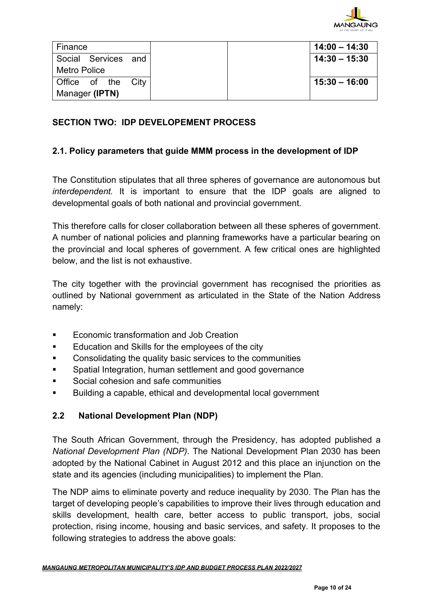

| Finance      |                     |  |
|--------------|---------------------|--|
|              | Social Services and |  |
| Metro Police |                     |  |
|              | Office of the City  |  |
|              | Manager (IPTN)      |  |

#### **SECTION TWO: IDP DEVELOPEMENT PROCESS**

#### **2.1. Policy parameters that guide MMM process in the development of IDP**

The Constitution stipulates that all three spheres of governance are autonomous but *interdependent.* It is important to ensure that the IDP goals are aligned to developmental goals of both national and provincial government.

This therefore calls for closer collaboration between all these spheres of government. A number of national policies and planning frameworks have a particular bearing on the provincial and local spheres of government. A few critical ones are highlighted below, and the list is not exhaustive.

The city together with the provincial government has recognised the priorities as outlined by National government as articulated in the State of the Nation Address namely:

- Economic transformation and Job Creation
- Education and Skills for the employees of the city
- Consolidating the quality basic services to the communities
- Spatial Integration, human settlement and good governance
- Social cohesion and safe communities
- Building a capable, ethical and developmental local government

#### **2.2 National Development Plan (NDP)**

The South African Government, through the Presidency, has adopted published a *National Development Plan (NDP)*. The National Development Plan 2030 has been adopted by the National Cabinet in August 2012 and this place an injunction on the state and its agencies (including municipalities) to implement the Plan.

The NDP aims to eliminate poverty and reduce inequality by 2030. The Plan has the target of developing people's capabilities to improve their lives through education and skills development, health care, better access to public transport, jobs, social protection, rising income, housing and basic services, and safety. It proposes to the following strategies to address the above goals: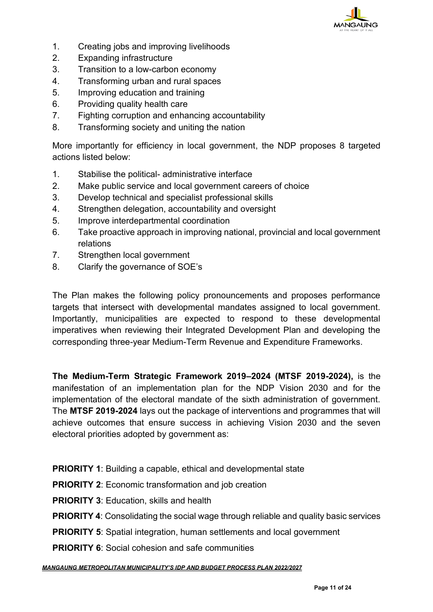

- 1. Creating jobs and improving livelihoods
- 2. Expanding infrastructure
- 3. Transition to a low-carbon economy
- 4. Transforming urban and rural spaces
- 5. Improving education and training
- 6. Providing quality health care
- 7. Fighting corruption and enhancing accountability
- 8. Transforming society and uniting the nation

More importantly for efficiency in local government, the NDP proposes 8 targeted actions listed below:

- 1. Stabilise the political- administrative interface
- 2. Make public service and local government careers of choice
- 3. Develop technical and specialist professional skills
- 4. Strengthen delegation, accountability and oversight
- 5. Improve interdepartmental coordination
- 6. Take proactive approach in improving national, provincial and local government relations
- 7. Strengthen local government
- 8. Clarify the governance of SOE's

The Plan makes the following policy pronouncements and proposes performance targets that intersect with developmental mandates assigned to local government. Importantly, municipalities are expected to respond to these developmental imperatives when reviewing their Integrated Development Plan and developing the corresponding three-year Medium-Term Revenue and Expenditure Frameworks.

**The Medium-Term Strategic Framework 2019–2024 (MTSF 2019-2024),** is the manifestation of an implementation plan for the NDP Vision 2030 and for the implementation of the electoral mandate of the sixth administration of government. The **MTSF 2019-2024** lays out the package of interventions and programmes that will achieve outcomes that ensure success in achieving Vision 2030 and the seven electoral priorities adopted by government as:

- **PRIORITY 1:** Building a capable, ethical and developmental state
- **PRIORITY 2: Economic transformation and job creation**
- **PRIORITY 3**: Education, skills and health
- **PRIORITY 4:** Consolidating the social wage through reliable and quality basic services
- **PRIORITY 5:** Spatial integration, human settlements and local government
- **PRIORITY 6:** Social cohesion and safe communities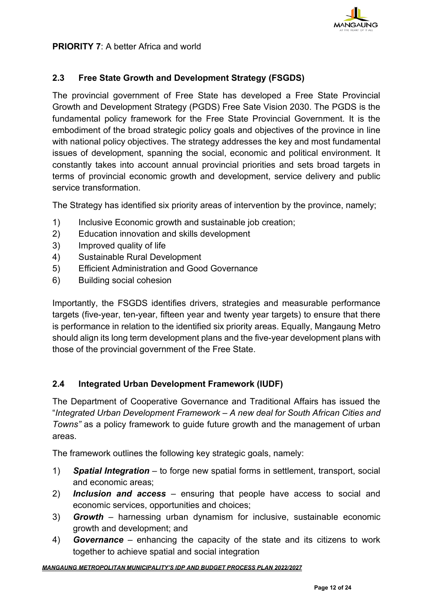

**PRIORITY 7: A better Africa and world** 

#### **2.3 Free State Growth and Development Strategy (FSGDS)**

The provincial government of Free State has developed a Free State Provincial Growth and Development Strategy (PGDS) Free Sate Vision 2030. The PGDS is the fundamental policy framework for the Free State Provincial Government. It is the embodiment of the broad strategic policy goals and objectives of the province in line with national policy objectives. The strategy addresses the key and most fundamental issues of development, spanning the social, economic and political environment. It constantly takes into account annual provincial priorities and sets broad targets in terms of provincial economic growth and development, service delivery and public service transformation.

The Strategy has identified six priority areas of intervention by the province, namely;

- 1) Inclusive Economic growth and sustainable job creation;
- 2) Education innovation and skills development
- 3) Improved quality of life
- 4) Sustainable Rural Development
- 5) Efficient Administration and Good Governance
- 6) Building social cohesion

Importantly, the FSGDS identifies drivers, strategies and measurable performance targets (five-year, ten-year, fifteen year and twenty year targets) to ensure that there is performance in relation to the identified six priority areas. Equally, Mangaung Metro should align its long term development plans and the five-year development plans with those of the provincial government of the Free State.

#### **2.4 Integrated Urban Development Framework (IUDF)**

The Department of Cooperative Governance and Traditional Affairs has issued the "*Integrated Urban Development Framework – A new deal for South African Cities and Towns"* as a policy framework to guide future growth and the management of urban areas.

The framework outlines the following key strategic goals, namely:

- 1) *Spatial Integration* to forge new spatial forms in settlement, transport, social and economic areas;
- 2) *Inclusion and access*  ensuring that people have access to social and economic services, opportunities and choices;
- 3) *Growth*  harnessing urban dynamism for inclusive, sustainable economic growth and development; and
- 4) *Governance*  enhancing the capacity of the state and its citizens to work together to achieve spatial and social integration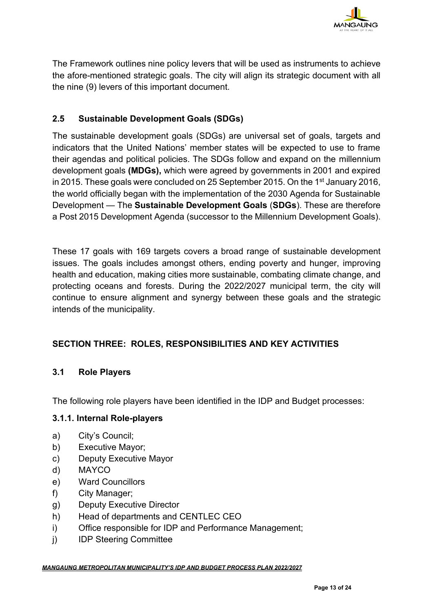

The Framework outlines nine policy levers that will be used as instruments to achieve the afore-mentioned strategic goals. The city will align its strategic document with all the nine (9) levers of this important document.

## **2.5 Sustainable Development Goals (SDGs)**

The [sustainable development goals](https://sustainabledevelopment.un.org/focussdgs.html) (SDGs) are universal set of goals, targets and indicators that the United Nations' member states will be expected to use to frame their agendas and political policies. The SDGs follow and expand on the [millennium](https://www.theguardian.com/global-development/millennium-development-goals)  [development goals](https://www.theguardian.com/global-development/millennium-development-goals) **(MDGs),** which were agreed by governments in 2001 and expired in 2015. These goals were concluded on 25 September 2015. On the 1<sup>st</sup> January 2016, the world officially began with the implementation of the 2030 Agenda for Sustainable Development — The **Sustainable Development Goals** (**SDGs**). These are therefore a Post 2015 Development Agenda (successor to the [Millennium Development Goals\)](https://en.wikipedia.org/wiki/Millennium_Development_Goals).

These 17 goals with 169 targets covers a broad range of [sustainable development](https://en.wikipedia.org/wiki/Sustainable_development) issues. The goals includes amongst others, ending [poverty](https://en.wikipedia.org/wiki/Poverty) and [hunger,](https://en.wikipedia.org/wiki/Hunger) improving [health](https://en.wikipedia.org/wiki/Health) and [education,](https://en.wikipedia.org/wiki/Education) making cities more sustainable, combating [climate change,](https://en.wikipedia.org/wiki/Climate_change) and protecting oceans and forests. During the 2022/2027 municipal term, the city will continue to ensure alignment and synergy between these goals and the strategic intends of the municipality.

## **SECTION THREE: ROLES, RESPONSIBILITIES AND KEY ACTIVITIES**

#### **3.1 Role Players**

The following role players have been identified in the IDP and Budget processes:

#### **3.1.1. Internal Role-players**

- a) City's Council;
- b) Executive Mayor;
- c) Deputy Executive Mayor
- d) MAYCO
- e) Ward Councillors
- f) City Manager;
- g) Deputy Executive Director
- h) Head of departments and CENTLEC CEO
- i) Office responsible for IDP and Performance Management;
- j) IDP Steering Committee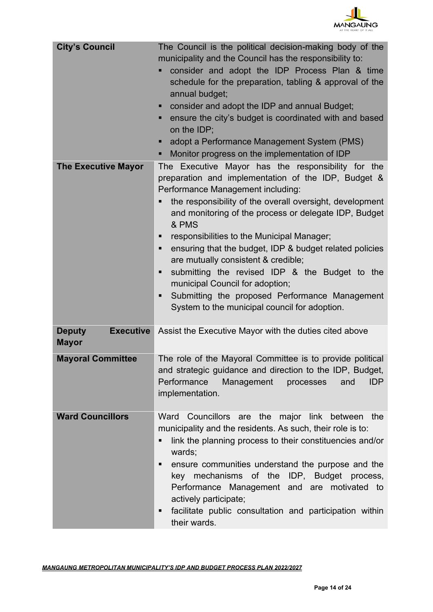

| <b>City's Council</b>                             | The Council is the political decision-making body of the<br>municipality and the Council has the responsibility to:<br>consider and adopt the IDP Process Plan & time<br>schedule for the preparation, tabling & approval of the<br>annual budget;<br>• consider and adopt the IDP and annual Budget;<br>ensure the city's budget is coordinated with and based<br>ш<br>on the IDP;<br>adopt a Performance Management System (PMS)<br>٠<br>Monitor progress on the implementation of IDP<br>٠                                                                                                                                            |
|---------------------------------------------------|------------------------------------------------------------------------------------------------------------------------------------------------------------------------------------------------------------------------------------------------------------------------------------------------------------------------------------------------------------------------------------------------------------------------------------------------------------------------------------------------------------------------------------------------------------------------------------------------------------------------------------------|
| <b>The Executive Mayor</b>                        | The Executive Mayor has the responsibility for the<br>preparation and implementation of the IDP, Budget &<br>Performance Management including:<br>the responsibility of the overall oversight, development<br>and monitoring of the process or delegate IDP, Budget<br>& PMS<br>responsibilities to the Municipal Manager;<br>п<br>ensuring that the budget, IDP & budget related policies<br>٠<br>are mutually consistent & credible;<br>submitting the revised IDP & the Budget to the<br>Ξ<br>municipal Council for adoption;<br>Submitting the proposed Performance Management<br>п<br>System to the municipal council for adoption. |
| <b>Deputy</b><br><b>Executive</b><br><b>Mayor</b> | Assist the Executive Mayor with the duties cited above                                                                                                                                                                                                                                                                                                                                                                                                                                                                                                                                                                                   |
| <b>Mayoral Committee</b>                          | The role of the Mayoral Committee is to provide political<br>and strategic guidance and direction to the IDP, Budget,<br>Performance<br><b>IDP</b><br>Management<br>processes<br>and<br>implementation.                                                                                                                                                                                                                                                                                                                                                                                                                                  |
| <b>Ward Councillors</b>                           | Ward Councillors are the major link between the<br>municipality and the residents. As such, their role is to:<br>link the planning process to their constituencies and/or<br>п<br>wards;<br>ensure communities understand the purpose and the<br>٠<br>key mechanisms of the IDP, Budget process,<br>Performance Management and are motivated to<br>actively participate;<br>facilitate public consultation and participation within<br>٠<br>their wards.                                                                                                                                                                                 |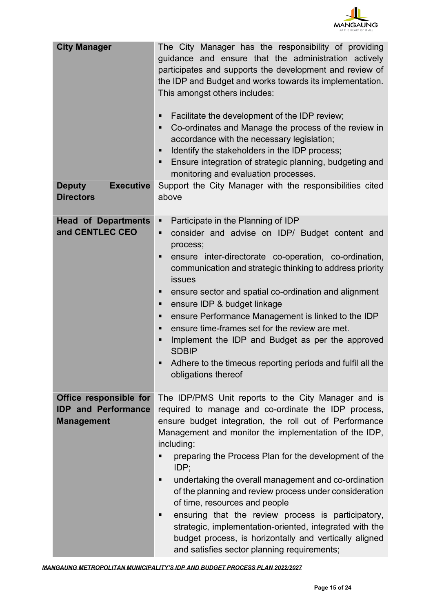

| <b>City Manager</b>                                                       | The City Manager has the responsibility of providing<br>guidance and ensure that the administration actively<br>participates and supports the development and review of<br>the IDP and Budget and works towards its implementation.<br>This amongst others includes:<br>Facilitate the development of the IDP review;<br>п<br>Co-ordinates and Manage the process of the review in<br>٠<br>accordance with the necessary legislation;<br>Identify the stakeholders in the IDP process;<br>Ξ<br>Ensure integration of strategic planning, budgeting and<br>Ξ<br>monitoring and evaluation processes.                                                                                                      |
|---------------------------------------------------------------------------|----------------------------------------------------------------------------------------------------------------------------------------------------------------------------------------------------------------------------------------------------------------------------------------------------------------------------------------------------------------------------------------------------------------------------------------------------------------------------------------------------------------------------------------------------------------------------------------------------------------------------------------------------------------------------------------------------------|
| <b>Executive</b><br><b>Deputy</b><br><b>Directors</b>                     | Support the City Manager with the responsibilities cited<br>above                                                                                                                                                                                                                                                                                                                                                                                                                                                                                                                                                                                                                                        |
| <b>Head of Departments</b><br>and CENTLEC CEO                             | Participate in the Planning of IDP<br>Ξ<br>consider and advise on IDP/ Budget content and<br>Ξ<br>process;<br>ensure inter-directorate co-operation, co-ordination,<br>Ξ<br>communication and strategic thinking to address priority<br><b>issues</b><br>ensure sector and spatial co-ordination and alignment<br>п<br>ensure IDP & budget linkage<br>Ξ<br>ensure Performance Management is linked to the IDP<br>Ξ<br>ensure time-frames set for the review are met.<br>٠<br>Implement the IDP and Budget as per the approved<br>Ξ<br><b>SDBIP</b><br>Adhere to the timeous reporting periods and fulfil all the<br>obligations thereof                                                                  |
| Office responsible for<br><b>IDP</b> and Performance<br><b>Management</b> | The IDP/PMS Unit reports to the City Manager and is<br>required to manage and co-ordinate the IDP process,<br>ensure budget integration, the roll out of Performance<br>Management and monitor the implementation of the IDP,<br>including:<br>preparing the Process Plan for the development of the<br>■<br>IDP;<br>undertaking the overall management and co-ordination<br>п<br>of the planning and review process under consideration<br>of time, resources and people<br>ensuring that the review process is participatory,<br>٠<br>strategic, implementation-oriented, integrated with the<br>budget process, is horizontally and vertically aligned<br>and satisfies sector planning requirements; |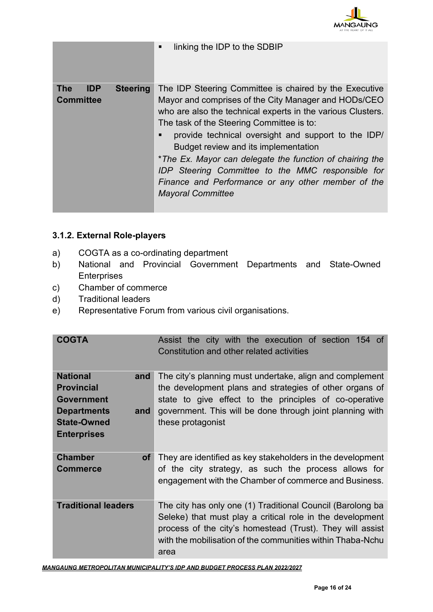

|                                              | п               | linking the IDP to the SDBIP                                                                                                                                                                                                                                                                                                                                                                                                                                                                                                 |
|----------------------------------------------|-----------------|------------------------------------------------------------------------------------------------------------------------------------------------------------------------------------------------------------------------------------------------------------------------------------------------------------------------------------------------------------------------------------------------------------------------------------------------------------------------------------------------------------------------------|
| <b>The</b><br><b>IDP</b><br><b>Committee</b> | <b>Steering</b> | The IDP Steering Committee is chaired by the Executive<br>Mayor and comprises of the City Manager and HODs/CEO<br>who are also the technical experts in the various Clusters.<br>The task of the Steering Committee is to:<br>provide technical oversight and support to the IDP/<br>Budget review and its implementation<br>*The Ex. Mayor can delegate the function of chairing the<br>IDP Steering Committee to the MMC responsible for<br>Finance and Performance or any other member of the<br><b>Mayoral Committee</b> |

## **3.1.2. External Role-players**

- a) COGTA as a co-ordinating department
- b) National and Provincial Government Departments and State-Owned **Enterprises**
- c) Chamber of commerce
- d) Traditional leaders
- e) Representative Forum from various civil organisations.

| <b>COGTA</b>                                   | Assist the city with the execution of section 154 of<br>Constitution and other related activities                                                                                                                                                          |
|------------------------------------------------|------------------------------------------------------------------------------------------------------------------------------------------------------------------------------------------------------------------------------------------------------------|
| <b>National</b><br>and                         | The city's planning must undertake, align and complement                                                                                                                                                                                                   |
| <b>Provincial</b>                              | the development plans and strategies of other organs of                                                                                                                                                                                                    |
| <b>Government</b>                              | state to give effect to the principles of co-operative                                                                                                                                                                                                     |
| <b>Departments</b><br>and                      | government. This will be done through joint planning with                                                                                                                                                                                                  |
| <b>State-Owned</b>                             | these protagonist                                                                                                                                                                                                                                          |
| <b>Enterprises</b>                             |                                                                                                                                                                                                                                                            |
| <b>Chamber</b><br><b>of</b><br><b>Commerce</b> | They are identified as key stakeholders in the development<br>of the city strategy, as such the process allows for<br>engagement with the Chamber of commerce and Business.                                                                                |
| <b>Traditional leaders</b>                     | The city has only one (1) Traditional Council (Barolong ba<br>Seleke) that must play a critical role in the development<br>process of the city's homestead (Trust). They will assist<br>with the mobilisation of the communities within Thaba-Nchu<br>area |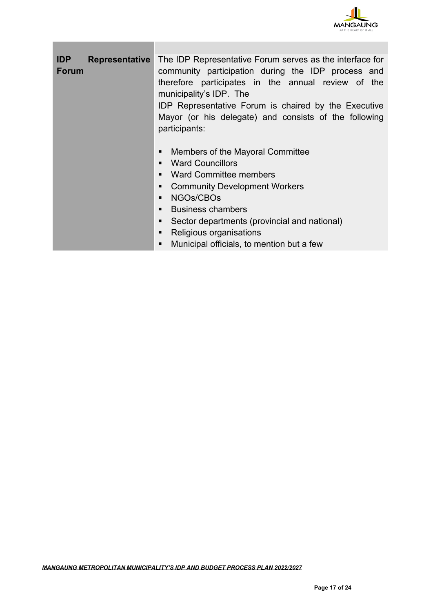

| <b>IDP</b><br><b>Representative</b><br><b>Forum</b> | The IDP Representative Forum serves as the interface for<br>community participation during the IDP process and<br>therefore participates in the annual review of the<br>municipality's IDP. The<br><b>IDP Representative Forum is chaired by the Executive</b><br>Mayor (or his delegate) and consists of the following<br>participants: |  |  |  |  |
|-----------------------------------------------------|------------------------------------------------------------------------------------------------------------------------------------------------------------------------------------------------------------------------------------------------------------------------------------------------------------------------------------------|--|--|--|--|
|                                                     | Members of the Mayoral Committee<br><b>Ward Councillors</b><br><b>Ward Committee members</b><br>п<br><b>Community Development Workers</b><br>п<br>NGOs/CBOs<br><b>Business chambers</b><br>п<br>Sector departments (provincial and national)<br>■<br>Religious organisations<br>■<br>Municipal officials, to mention but a few           |  |  |  |  |

**The State**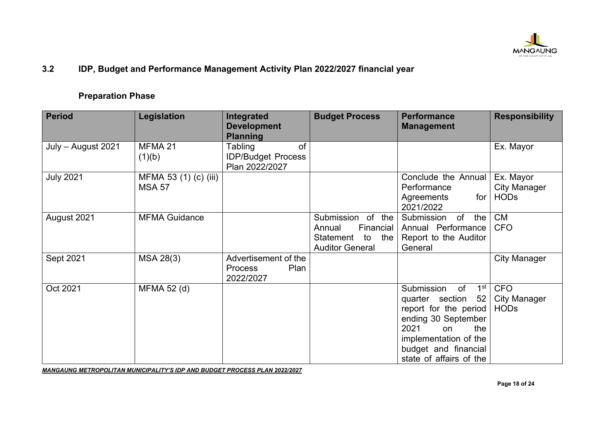

## **3.2 IDP, Budget and Performance Management Activity Plan 2022/2027 financial year**

#### **Preparation Phase**

| <b>Period</b>      | Legislation                            | Integrated<br><b>Development</b><br><b>Planning</b>          | <b>Budget Process</b>                                                                     | <b>Performance</b><br><b>Management</b>                                                                                                                                                                       | <b>Responsibility</b>                            |
|--------------------|----------------------------------------|--------------------------------------------------------------|-------------------------------------------------------------------------------------------|---------------------------------------------------------------------------------------------------------------------------------------------------------------------------------------------------------------|--------------------------------------------------|
| July – August 2021 | MFMA 21<br>(1)(b)                      | of<br>Tabling<br><b>IDP/Budget Process</b><br>Plan 2022/2027 |                                                                                           |                                                                                                                                                                                                               | Ex. Mayor                                        |
| <b>July 2021</b>   | MFMA 53 (1) (c) (iii)<br><b>MSA 57</b> |                                                              |                                                                                           | Conclude the Annual<br>Performance<br>for<br>Agreements<br>2021/2022                                                                                                                                          | Ex. Mayor<br><b>City Manager</b><br><b>HODs</b>  |
| August 2021        | <b>MFMA Guidance</b>                   |                                                              | Submission of the<br>Financial<br>Annual<br>Statement to<br>the<br><b>Auditor General</b> | Submission<br>of<br>the<br>Annual Performance<br>Report to the Auditor<br>General                                                                                                                             | <b>CM</b><br><b>CFO</b>                          |
| Sept 2021          | MSA 28(3)                              | Advertisement of the<br>Plan<br><b>Process</b><br>2022/2027  |                                                                                           |                                                                                                                                                                                                               | <b>City Manager</b>                              |
| Oct 2021           | MFMA 52 (d)                            |                                                              |                                                                                           | Submission<br>1 <sup>st</sup><br>of<br>quarter section<br>52<br>report for the period<br>ending 30 September<br>2021<br>the<br>on<br>implementation of the<br>budget and financial<br>state of affairs of the | <b>CFO</b><br><b>City Manager</b><br><b>HODs</b> |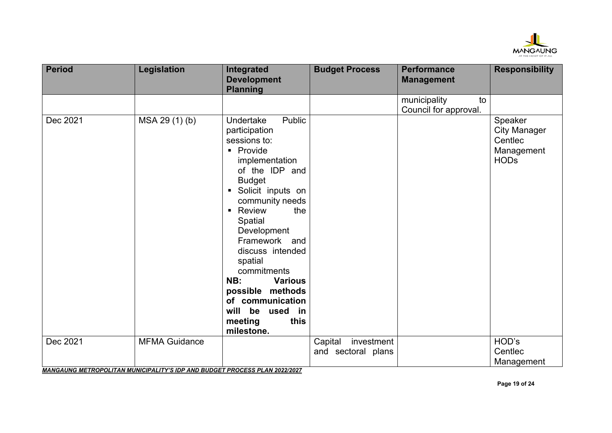

| <b>Period</b> | <b>Legislation</b>                                                                                 | Integrated<br><b>Development</b><br><b>Planning</b>                                                                                                                                                                                                                                                                                                                                                                   | <b>Budget Process</b>                       | <b>Performance</b><br><b>Management</b>     | <b>Responsibility</b>                                                  |
|---------------|----------------------------------------------------------------------------------------------------|-----------------------------------------------------------------------------------------------------------------------------------------------------------------------------------------------------------------------------------------------------------------------------------------------------------------------------------------------------------------------------------------------------------------------|---------------------------------------------|---------------------------------------------|------------------------------------------------------------------------|
|               |                                                                                                    |                                                                                                                                                                                                                                                                                                                                                                                                                       |                                             | municipality<br>to<br>Council for approval. |                                                                        |
| Dec 2021      | MSA 29 (1) (b)                                                                                     | Public<br>Undertake<br>participation<br>sessions to:<br>• Provide<br>implementation<br>of the IDP and<br><b>Budget</b><br>Solicit inputs on<br>community needs<br>Review<br>the<br>$\blacksquare$<br>Spatial<br>Development<br>Framework and<br>discuss intended<br>spatial<br>commitments<br>NB:<br><b>Various</b><br>possible methods<br>of communication<br>will be<br>used<br>in<br>this<br>meeting<br>milestone. |                                             |                                             | Speaker<br><b>City Manager</b><br>Centlec<br>Management<br><b>HODs</b> |
| Dec 2021      | <b>MFMA Guidance</b><br>MANCAUNC METROPOLITAN MUNICIPALITY'S IPP AND BUDGET PROCESS BLAN 2022/2027 |                                                                                                                                                                                                                                                                                                                                                                                                                       | Capital<br>investment<br>and sectoral plans |                                             | HOD's<br>Centlec<br>Management                                         |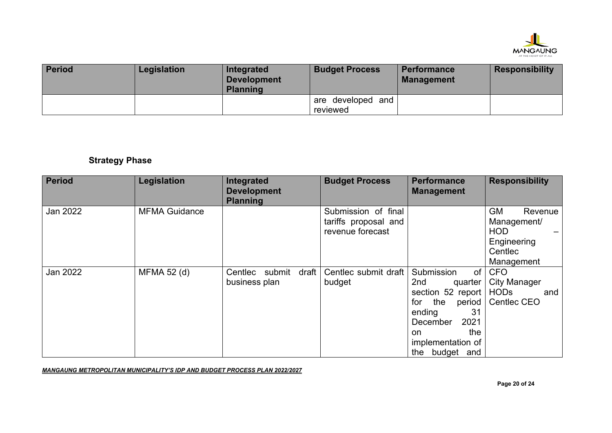

| <b>Period</b> | Legislation | Integrated<br><b>Development</b><br>Planning | <b>Budget Process</b>           | <b>Performance</b><br><b>Management</b> | <b>Responsibility</b> |
|---------------|-------------|----------------------------------------------|---------------------------------|-----------------------------------------|-----------------------|
|               |             |                                              | l are developed and<br>reviewed |                                         |                       |

# **Strategy Phase**

| <b>Period</b> | Legislation          | Integrated<br><b>Development</b><br><b>Planning</b> | <b>Budget Process</b>                                           | <b>Performance</b><br><b>Management</b>                                                                                                                                 | <b>Responsibility</b>                                                                     |
|---------------|----------------------|-----------------------------------------------------|-----------------------------------------------------------------|-------------------------------------------------------------------------------------------------------------------------------------------------------------------------|-------------------------------------------------------------------------------------------|
| Jan 2022      | <b>MFMA Guidance</b> |                                                     | Submission of final<br>tariffs proposal and<br>revenue forecast |                                                                                                                                                                         | <b>GM</b><br>Revenue<br>Management/<br><b>HOD</b><br>Engineering<br>Centlec<br>Management |
| Jan 2022      | MFMA 52 (d)          | draft<br>Centlec submit<br>business plan            | Centlec submit draft<br>budget                                  | Submission<br>of<br>2nd<br>quarter<br>section 52 report<br>for<br>the<br>period<br>31<br>ending<br>2021<br>December<br>the<br>on<br>implementation of<br>the budget and | <b>CFO</b><br><b>City Manager</b><br><b>HODs</b><br>and<br>Centlec CEO                    |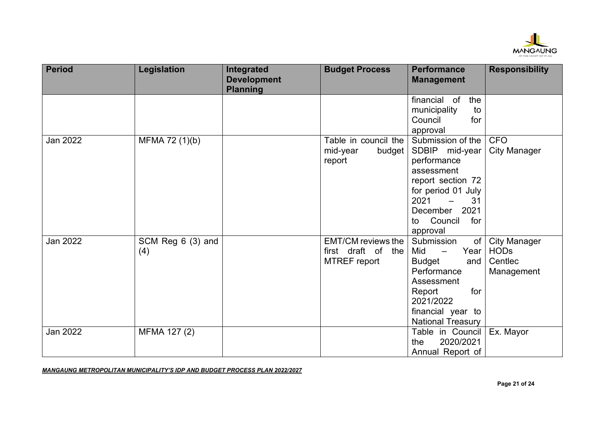

| <b>Period</b>   | Legislation        | Integrated<br><b>Development</b><br><b>Planning</b> | <b>Budget Process</b>                           | <b>Performance</b><br><b>Management</b>                     | <b>Responsibility</b>              |
|-----------------|--------------------|-----------------------------------------------------|-------------------------------------------------|-------------------------------------------------------------|------------------------------------|
|                 |                    |                                                     |                                                 | financial of<br>the                                         |                                    |
|                 |                    |                                                     |                                                 | municipality<br>to<br>Council<br>for                        |                                    |
|                 |                    |                                                     |                                                 | approval                                                    |                                    |
| Jan 2022        | MFMA 72 (1)(b)     |                                                     | Table in council the                            | Submission of the                                           | <b>CFO</b>                         |
|                 |                    |                                                     | mid-year<br>budget                              | SDBIP mid-year                                              | <b>City Manager</b>                |
|                 |                    |                                                     | report                                          | performance<br>assessment                                   |                                    |
|                 |                    |                                                     |                                                 | report section 72                                           |                                    |
|                 |                    |                                                     |                                                 | for period 01 July                                          |                                    |
|                 |                    |                                                     |                                                 | 2021<br>31                                                  |                                    |
|                 |                    |                                                     |                                                 | 2021<br>December                                            |                                    |
|                 |                    |                                                     |                                                 | Council<br>for<br>to                                        |                                    |
|                 |                    |                                                     |                                                 | approval                                                    |                                    |
| Jan 2022        | SCM Reg $6(3)$ and |                                                     | <b>EMT/CM reviews the</b><br>first draft of the | Submission<br>of<br>Mid<br>Year<br>$\overline{\phantom{m}}$ | <b>City Manager</b><br><b>HODs</b> |
|                 | (4)                |                                                     | <b>MTREF</b> report                             | <b>Budget</b><br>and                                        | Centlec                            |
|                 |                    |                                                     |                                                 | Performance                                                 | Management                         |
|                 |                    |                                                     |                                                 | Assessment                                                  |                                    |
|                 |                    |                                                     |                                                 | Report<br>for                                               |                                    |
|                 |                    |                                                     |                                                 | 2021/2022                                                   |                                    |
|                 |                    |                                                     |                                                 | financial year to                                           |                                    |
|                 |                    |                                                     |                                                 | <b>National Treasury</b>                                    |                                    |
| <b>Jan 2022</b> | MFMA 127 (2)       |                                                     |                                                 | Table in Council<br>2020/2021                               | Ex. Mayor                          |
|                 |                    |                                                     |                                                 | the                                                         |                                    |
|                 |                    |                                                     |                                                 | Annual Report of                                            |                                    |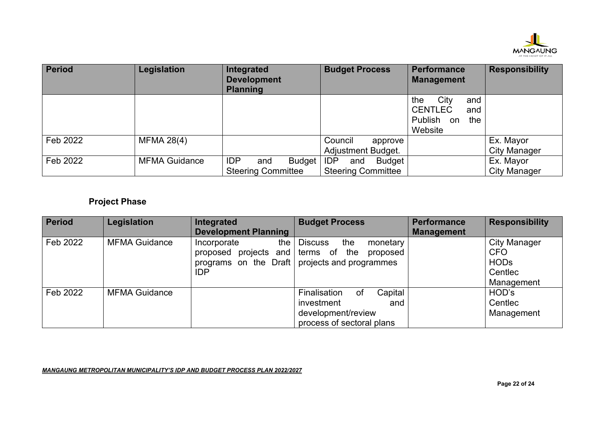

| <b>Period</b> | Legislation          | Integrated<br><b>Development</b><br><b>Planning</b>      | <b>Budget Process</b>                                    | <b>Performance</b><br><b>Management</b>                                        | <b>Responsibility</b>            |
|---------------|----------------------|----------------------------------------------------------|----------------------------------------------------------|--------------------------------------------------------------------------------|----------------------------------|
|               |                      |                                                          |                                                          | City<br>the<br>and<br><b>CENTLEC</b><br>and<br>Publish<br>the<br>on<br>Website |                                  |
| Feb 2022      | <b>MFMA 28(4)</b>    |                                                          | Council<br>approve<br>Adjustment Budget.                 |                                                                                | Ex. Mayor<br><b>City Manager</b> |
| Feb 2022      | <b>MFMA Guidance</b> | <b>IDP</b><br>Budget<br>and<br><b>Steering Committee</b> | <b>IDP</b><br>Budget<br>and<br><b>Steering Committee</b> |                                                                                | Ex. Mayor<br><b>City Manager</b> |

# **Project Phase**

| <b>Period</b> | Legislation          | Integrated                  | <b>Budget Process</b>             | <b>Performance</b> | <b>Responsibility</b> |
|---------------|----------------------|-----------------------------|-----------------------------------|--------------------|-----------------------|
|               |                      | <b>Development Planning</b> |                                   | <b>Management</b>  |                       |
| Feb 2022      | <b>MFMA Guidance</b> | the<br>Incorporate          | <b>Discuss</b><br>the<br>monetary |                    | <b>City Manager</b>   |
|               |                      | proposed projects and       | of the<br>terms<br>proposed       |                    | <b>CFO</b>            |
|               |                      | programs on the Draft       | projects and programmes           |                    | <b>HODs</b>           |
|               |                      | <b>IDP</b>                  |                                   |                    | Centlec               |
|               |                      |                             |                                   |                    | Management            |
| Feb 2022      | <b>MFMA Guidance</b> |                             | Capital<br>Finalisation<br>оf     |                    | HOD's                 |
|               |                      |                             | investment<br>and                 |                    | Centlec               |
|               |                      |                             | development/review                |                    | Management            |
|               |                      |                             | process of sectoral plans         |                    |                       |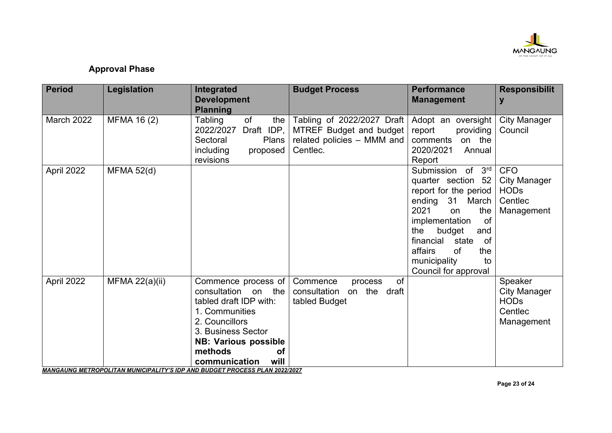

### **Approval Phase**

| <b>Period</b> | Legislation       | Integrated<br><b>Development</b><br><b>Planning</b>                                                                                                                                                                                                                                                 | <b>Budget Process</b>                                                                           | <b>Performance</b><br><b>Management</b>                                                                                                                                                                                                                                              | <b>Responsibilit</b><br>y                                                 |
|---------------|-------------------|-----------------------------------------------------------------------------------------------------------------------------------------------------------------------------------------------------------------------------------------------------------------------------------------------------|-------------------------------------------------------------------------------------------------|--------------------------------------------------------------------------------------------------------------------------------------------------------------------------------------------------------------------------------------------------------------------------------------|---------------------------------------------------------------------------|
| March 2022    | MFMA 16 (2)       | of<br>Tabling<br>the<br>2022/2027<br>Draft IDP,<br>Sectoral<br>Plans<br>including<br>proposed<br>revisions                                                                                                                                                                                          | Tabling of 2022/2027 Draft<br>MTREF Budget and budget<br>related policies - MMM and<br>Centlec. | Adopt an oversight<br>report<br>providing<br>comments<br>on the<br>2020/2021<br>Annual<br>Report                                                                                                                                                                                     | <b>City Manager</b><br>Council                                            |
| April 2022    | <b>MFMA 52(d)</b> |                                                                                                                                                                                                                                                                                                     |                                                                                                 | Submission of<br>3 <sup>rd</sup><br>quarter section 52<br>report for the period<br>ending 31 March<br>2021<br>the<br><sub>on</sub><br>of<br>implementation<br>budget<br>the<br>and<br>financial<br>state<br>of<br>affairs<br>of<br>the<br>municipality<br>to<br>Council for approval | <b>CFO</b><br><b>City Manager</b><br><b>HODs</b><br>Centlec<br>Management |
| April 2022    | MFMA $22(a)(ii)$  | Commence process of<br>consultation on the<br>tabled draft IDP with:<br>1. Communities<br>2. Councillors<br>3. Business Sector<br><b>NB: Various possible</b><br>methods<br><b>of</b><br>will<br>communication<br><b>MANGAUNG METROPOLITAN MUNICIPALITY'S IDP AND BUDGET PROCESS PLAN 2022/2027</b> | of<br>Commence<br>process<br>consultation<br>on the draft<br>tabled Budget                      |                                                                                                                                                                                                                                                                                      | Speaker<br><b>City Manager</b><br><b>HODs</b><br>Centlec<br>Management    |